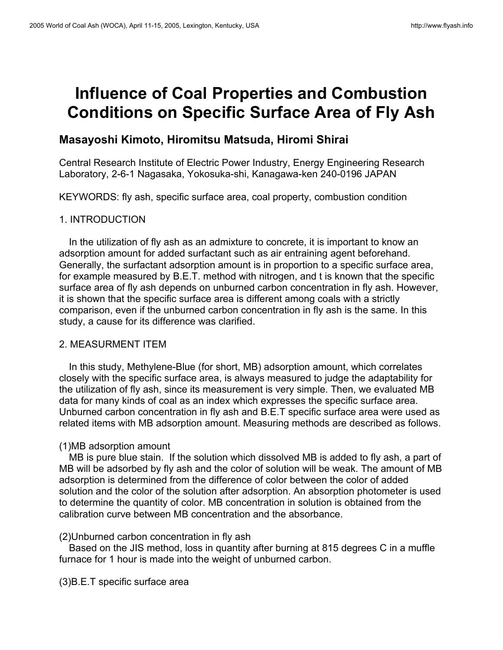# **Influence of Coal Properties and Combustion Conditions on Specific Surface Area of Fly Ash**

## **Masayoshi Kimoto, Hiromitsu Matsuda, Hiromi Shirai**

Central Research Institute of Electric Power Industry, Energy Engineering Research Laboratory, 2-6-1 Nagasaka, Yokosuka-shi, Kanagawa-ken 240-0196 JAPAN

KEYWORDS: fly ash, specific surface area, coal property, combustion condition

### 1. INTRODUCTION

In the utilization of fly ash as an admixture to concrete, it is important to know an adsorption amount for added surfactant such as air entraining agent beforehand. Generally, the surfactant adsorption amount is in proportion to a specific surface area, for example measured by B.E.T. method with nitrogen, and t is known that the specific surface area of fly ash depends on unburned carbon concentration in fly ash. However, it is shown that the specific surface area is different among coals with a strictly comparison, even if the unburned carbon concentration in fly ash is the same. In this study, a cause for its difference was clarified.

#### 2. MEASURMENT ITEM

In this study, Methylene-Blue (for short, MB) adsorption amount, which correlates closely with the specific surface area, is always measured to judge the adaptability for the utilization of fly ash, since its measurement is very simple. Then, we evaluated MB data for many kinds of coal as an index which expresses the specific surface area. Unburned carbon concentration in fly ash and B.E.T specific surface area were used as related items with MB adsorption amount. Measuring methods are described as follows.

## (1)MB adsorption amount

MB is pure blue stain. If the solution which dissolved MB is added to fly ash, a part of MB will be adsorbed by fly ash and the color of solution will be weak. The amount of MB adsorption is determined from the difference of color between the color of added solution and the color of the solution after adsorption. An absorption photometer is used to determine the quantity of color. MB concentration in solution is obtained from the calibration curve between MB concentration and the absorbance.

#### (2)Unburned carbon concentration in fly ash

Based on the JIS method, loss in quantity after burning at 815 degrees C in a muffle furnace for 1 hour is made into the weight of unburned carbon.

(3)B.E.T specific surface area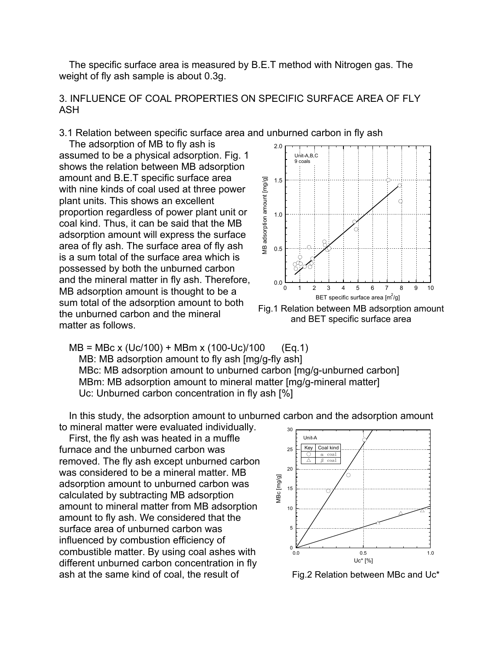The specific surface area is measured by B.E.T method with Nitrogen gas. The weight of fly ash sample is about 0.3g.

3. INFLUENCE OF COAL PROPERTIES ON SPECIFIC SURFACE AREA OF FLY ASH

3.1 Relation between specific surface area and unburned carbon in fly ash

The adsorption of MB to fly ash is assumed to be a physical adsorption. Fig. 1 shows the relation between MB adsorption amount and B.E.T specific surface area with nine kinds of coal used at three power plant units. This shows an excellent proportion regardless of power plant unit or coal kind. Thus, it can be said that the MB adsorption amount will express the surface area of fly ash. The surface area of fly ash is a sum total of the surface area which is possessed by both the unburned carbon and the mineral matter in fly ash. Therefore, MB adsorption amount is thought to be a sum total of the adsorption amount to both the unburned carbon and the mineral matter as follows.



Fig.1 Relation between MB adsorption amount and BET specific surface area

MB = MBc x (Uc/100) + MBm x (100-Uc)/100 (Eq.1) MB: MB adsorption amount to fly ash [mg/g-fly ash] MBc: MB adsorption amount to unburned carbon [mg/g-unburned carbon] MBm: MB adsorption amount to mineral matter [mg/g-mineral matter] Uc: Unburned carbon concentration in fly ash [%]

In this study, the adsorption amount to unburned carbon and the adsorption amount to mineral matter were evaluated individually.

First, the fly ash was heated in a muffle  $\mathbb{I}_{\text{Unit-A}}$ furnace and the unburned carbon was removed. The fly ash except unburned carbon was considered to be a mineral matter. MB adsorption amount to unburned carbon was calculated by subtracting MB adsorption amount to mineral matter from MB adsorption amount to fly ash. We considered that the surface area of unburned carbon was influenced by combustion efficiency of combustible matter. By using coal ashes with different unburned carbon concentration in fly ash at the same kind of coal, the result of  $Fig.2$  Relation between MBc and Uc<sup>\*</sup>

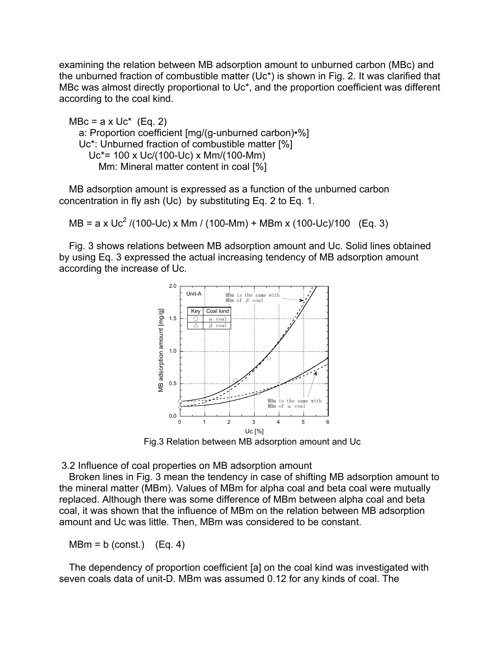examining the relation between MB adsorption amount to unburned carbon (MBc) and the unburned fraction of combustible matter (Uc\*) is shown in Fig. 2. It was clarified that MBc was almost directly proportional to Uc<sup>\*</sup>, and the proportion coefficient was different according to the coal kind.

 $MBC = a \times Uc^*$  (Eq. 2) a: Proportion coefficient [mg/(g-unburned carbon)•%] Uc\*: Unburned fraction of combustible matter [%] Uc\*= 100 x Uc/(100-Uc) x Mm/(100-Mm) Mm: Mineral matter content in coal [%]

MB adsorption amount is expressed as a function of the unburned carbon concentration in fly ash (Uc) by substituting Eq. 2 to Eq. 1.

MB = a x Uc<sup>2</sup> /(100-Uc) x Mm / (100-Mm) + MBm x (100-Uc)/100 (Eq. 3)

Fig. 3 shows relations between MB adsorption amount and Uc. Solid lines obtained by using Eq. 3 expressed the actual increasing tendency of MB adsorption amount according the increase of Uc.



Fig.3 Relation between MB adsorption amount and Uc

3.2 Influence of coal properties on MB adsorption amount

Broken lines in Fig. 3 mean the tendency in case of shifting MB adsorption amount to the mineral matter (MBm). Values of MBm for alpha coal and beta coal were mutually replaced. Although there was some difference of MBm between alpha coal and beta coal, it was shown that the influence of MBm on the relation between MB adsorption amount and Uc was little. Then, MBm was considered to be constant.

 $MBm = b (const.)$   $(Eq. 4)$ 

The dependency of proportion coefficient [a] on the coal kind was investigated with seven coals data of unit-D. MBm was assumed 0.12 for any kinds of coal. The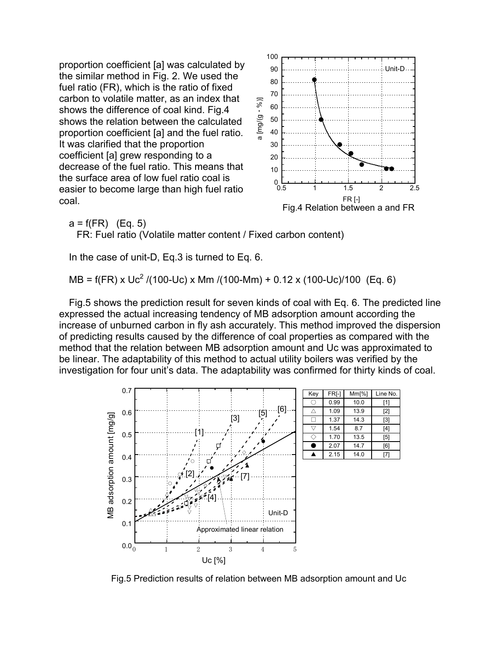proportion coefficient [a] was calculated b y the similar method in Fig. 2. We used the fuel ratio (FR), which is the ratio of fixed carbon to volatile matter, as an index that shows the difference of coal kind. Fig.4 shows the relation between the calcula ted proportion coefficient [a] and the fuel rati o. It was clarified that the proportion coefficient [a] grew responding to a decrease of the fuel ratio. This means that the surface area of low fuel ratio coal is easier to become large than high fuel rat io coal.



 $a = f(FR)$  (Eq. 5)

FR: Fuel ratio (Volatile matter content / Fixed carbon content)

In the case of unit-D, Eq.3 is turned to Eq. 6.

MB = f(FR) x Uc<sup>2</sup> /(100-Uc) x Mm /(100-Mm) + 0.12 x (100-Uc)/100 (Eq. 6)

Fig.5 shows the prediction result for seven kinds of coal with Eq. 6. The predicted line expressed the actual increasing tendency of MB adsorption amount according the increase of unburned carbon in fly ash accurately. This method improved the dispersion of predicting results caused by the difference of coal properties as compared with the method that the relation between MB adsorption amount and Uc was approximated to be linear. The adaptability of this method to actual utility boilers was verified by the investigation for four unit's data. The adaptability was confirmed for thirty kinds of coal.



Fig.5 Prediction results of relation between MB adsorption amount and Uc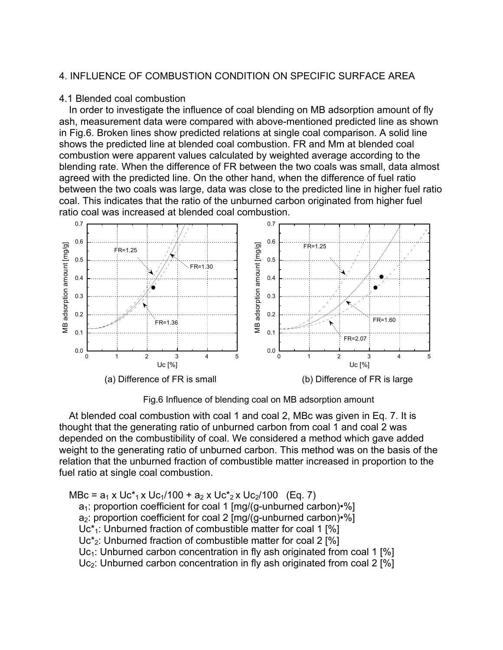## 4. INFLUENCE OF COMBUSTION CONDITION ON SPECIFIC SURFACE AREA

#### 4.1 Blended coal combustion

In order to investigate the influence of coal blending on MB adsorption amount of fly ash, measurement data were compared with above-mentioned predicted line as shown in Fig.6. Broken lines show predicted relations at single coal comparison. A solid line shows the predicted line at blended coal combustion. FR and Mm at blended coal combustion were apparent values calculated by weighted average according to the blending rate. When the difference of FR between the two coals was small, data almost agreed with the predicted line. On the other hand, when the difference of fuel ratio between the two coals was large, data was close to the predicted line in higher fuel ratio coal. This indicates that the ratio of the unburned carbon originated from higher fuel ratio coal was increased at blended coal combustion.



Fig.6 Influence of blending coal on MB adsorption amount

weight to the generating ratio of unburned carbon. This method was on the basis of the re lation that the unburned fraction of combustible matter increased in proportion to the fu el ratio at single coal combustion. At blended coal combustion with coal 1 and coal 2, MBc was given in Eq. 7. It is thought that the generating ratio of unburned carbon from coal 1 and coal 2 was depended on the combustibility of coal. We considered a method which gave added

 $MBC = a_1 \times Uc_{1} \times Uc_{1}/100 + a_2 \times Uc_{2} \times Uc_{2}/100$  (Eq. 7) a<sub>1</sub>: proportion coefficient for coal 1 [mg/(g-unburned carbon)•%] Uc\*2: Unburned fraction of combustible matter for coal 2 [%]  $Uc<sub>1</sub>$ : Unburned carbon concentration in fly ash originated from coal 1 [%] Uc<sub>2</sub>: Unburned carbon concentration in fly ash originated from coal 2 [%]  $a_2$ : proportion coefficient for coal 2  $\text{[mg/(g-unburned carbon)}\cdot\%)$  $Uc_{1}^*$ : Unburned fraction of combustible matter for coal 1 [%]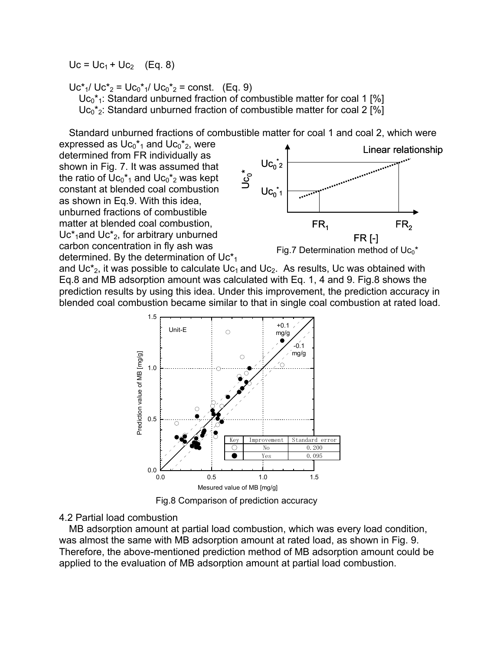$Uc = Uc_1 + Uc_2$  (Eq. 8)

 $Uc_{1}/ Uc_{2}^{\ast} = Uc_{0}^{\ast}$ <sup>1</sup>/  $Uc_{0}^{\ast}$ <sub>2</sub> = const. (Eq. 9)  $Uc_0$ <sup>\*</sup><sub>1</sub>: Standard unburned fraction of combustible matter for coal 1 [%]  $Uc_0$ <sup>\*</sup><sub>2</sub>: Standard unburned fraction of combustible matter for coal 2 [%]

Standard unburned fractions of combustible matter for coal 1 and coal 2, which were

expressed as  $\text{Uc}_0$ <sup>\*</sup><sub>1</sub> and  $\text{Uc}_0$ <sup>\*</sup><sub>2</sub>, were shown in Fig. 7. It was assumed that determined. By the determination of Uc $*_1$ determined from FR individually as the ratio of  $UC_0^*$ <sub>1</sub> and  $UC_0^*$ <sub>2</sub> was kept constant at blended coal combustion as shown in Eq.9. With this idea, unburned fractions of combustible matter at blended coal combustion,  $Uc^*$ <sub>1</sub>and  $Uc^*$ <sub>2</sub>, for arbitrary unburned carbon concentration in fly ash was



and Uc $z$ , it was possible to calculate Uc<sub>1</sub> and Uc<sub>2</sub>. As results, Uc was obtained with prediction results by using this idea. Under this improvement, the prediction accuracy in Eq.8 and MB adsorption amount was calculated with Eq. 1, 4 and 9. Fig.8 shows the blended coal combustion became similar to that in single coal combustion at rated load.



Fig.8 Comparison of prediction accuracy

#### 4.2 Partial load combustion

MB adsorption amount at partial load combustion, which was every load condition, wa s almost the same with MB adsorption amount at rated load, as shown in Fig. 9. Therefore, the above-mentioned prediction method of MB adsorption amount could be applied to the evaluation of MB adsorption amount at partial load combustion.